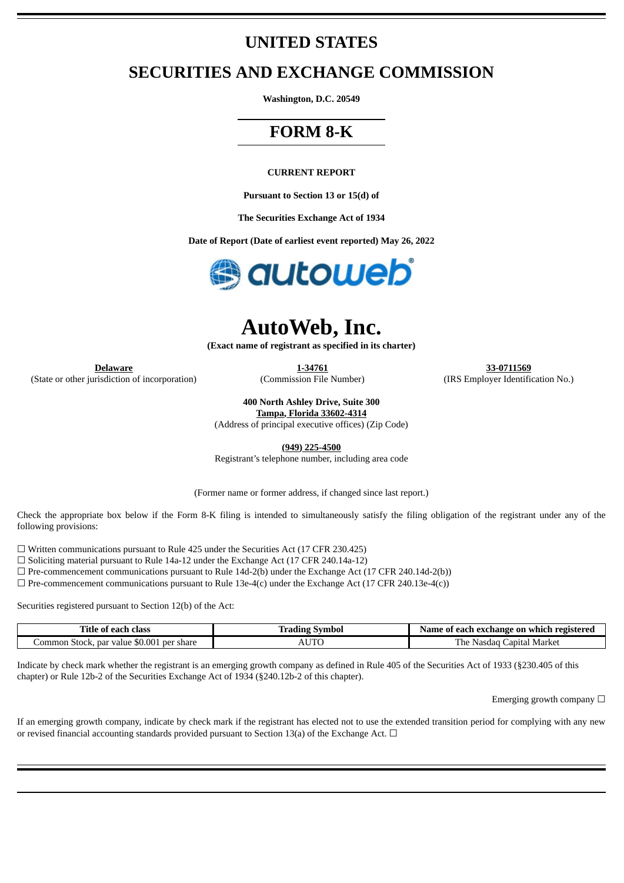# **UNITED STATES**

# **SECURITIES AND EXCHANGE COMMISSION**

**Washington, D.C. 20549**

# **FORM 8-K**

#### **CURRENT REPORT**

**Pursuant to Section 13 or 15(d) of**

**The Securities Exchange Act of 1934**

**Date of Report (Date of earliest event reported) May 26, 2022**



# **AutoWeb, Inc.**

**(Exact name of registrant as specified in its charter)**

(State or other jurisdiction of incorporation) (Commission File Number) (IRS Employer Identification No.)

**Delaware 1-34761 33-0711569**

**400 North Ashley Drive, Suite 300**

**Tampa, Florida 33602-4314** (Address of principal executive offices) (Zip Code)

**(949) 225-4500**

Registrant's telephone number, including area code

(Former name or former address, if changed since last report.)

Check the appropriate box below if the Form 8-K filing is intended to simultaneously satisfy the filing obligation of the registrant under any of the following provisions:

 $\Box$  Written communications pursuant to Rule 425 under the Securities Act (17 CFR 230.425)

☐ Soliciting material pursuant to Rule 14a-12 under the Exchange Act (17 CFR 240.14a-12)

 $\Box$  Pre-commencement communications pursuant to Rule 14d-2(b) under the Exchange Act (17 CFR 240.14d-2(b))

 $\Box$  Pre-commencement communications pursuant to Rule 13e-4(c) under the Exchange Act (17 CFR 240.13e-4(c))

Securities registered pursuant to Section 12(b) of the Act:

| Title of each class                           | ' Symbol<br>Tradıng | Name of each exchange on which registered |
|-----------------------------------------------|---------------------|-------------------------------------------|
| ، Stock, par value \$0.001 per share<br>ommon | UTC<br>ΆU           | The .<br>Japital Market<br>Nasdad         |

Indicate by check mark whether the registrant is an emerging growth company as defined in Rule 405 of the Securities Act of 1933 (§230.405 of this chapter) or Rule 12b-2 of the Securities Exchange Act of 1934 (§240.12b-2 of this chapter).

Emerging growth company  $\Box$ 

If an emerging growth company, indicate by check mark if the registrant has elected not to use the extended transition period for complying with any new or revised financial accounting standards provided pursuant to Section 13(a) of the Exchange Act.  $\Box$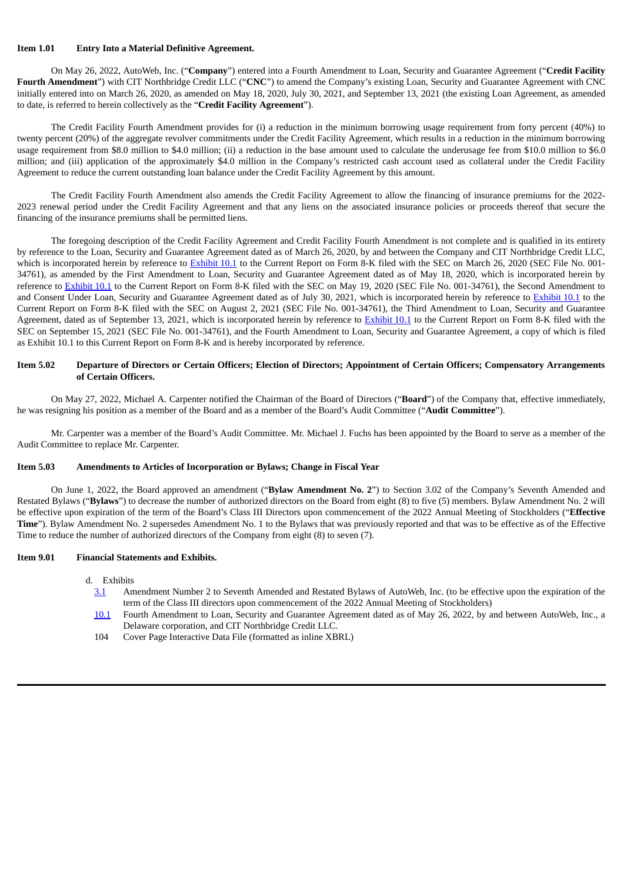#### **Item 1.01 Entry Into a Material Definitive Agreement.**

On May 26, 2022, AutoWeb, Inc. ("**Company**") entered into a Fourth Amendment to Loan, Security and Guarantee Agreement ("**Credit Facility Fourth Amendment**") with CIT Northbridge Credit LLC ("**CNC**") to amend the Company's existing Loan, Security and Guarantee Agreement with CNC initially entered into on March 26, 2020, as amended on May 18, 2020, July 30, 2021, and September 13, 2021 (the existing Loan Agreement, as amended to date, is referred to herein collectively as the "**Credit Facility Agreement**").

The Credit Facility Fourth Amendment provides for (i) a reduction in the minimum borrowing usage requirement from forty percent (40%) to twenty percent (20%) of the aggregate revolver commitments under the Credit Facility Agreement, which results in a reduction in the minimum borrowing usage requirement from \$8.0 million to \$4.0 million; (ii) a reduction in the base amount used to calculate the underusage fee from \$10.0 million to \$6.0 million; and (iii) application of the approximately \$4.0 million in the Company's restricted cash account used as collateral under the Credit Facility Agreement to reduce the current outstanding loan balance under the Credit Facility Agreement by this amount.

The Credit Facility Fourth Amendment also amends the Credit Facility Agreement to allow the financing of insurance premiums for the 2022- 2023 renewal period under the Credit Facility Agreement and that any liens on the associated insurance policies or proceeds thereof that secure the financing of the insurance premiums shall be permitted liens.

The foregoing description of the Credit Facility Agreement and Credit Facility Fourth Amendment is not complete and is qualified in its entirety by reference to the Loan, Security and Guarantee Agreement dated as of March 26, 2020, by and between the Company and CIT Northbridge Credit LLC, which is incorporated herein by reference to [Exhibit](http://www.sec.gov/Archives/edgar/data/1023364/000165495420003343/ex10-1.htm) 10.1 to the Current Report on Form 8-K filed with the SEC on March 26, 2020 (SEC File No. 001-34761), as amended by the First Amendment to Loan, Security and Guarantee Agreement dated as of May 18, 2020, which is incorporated herein by reference to [Exhibit](http://www.sec.gov/Archives/edgar/data/1023364/000165495420005764/ex10-1.htm) 10.1 to the Current Report on Form 8-K filed with the SEC on May 19, 2020 (SEC File No. 001-34761), the Second Amendment to and Consent Under Loan, Security and Guarantee Agreement dated as of July 30, 2021, which is incorporated herein by reference to [Exhibit](http://www.sec.gov/Archives/edgar/data/1023364/000165495421008422/ex10-1.htm) 10.1 to the Current Report on Form 8-K filed with the SEC on August 2, 2021 (SEC File No. 001-34761), the Third Amendment to Loan, Security and Guarantee Agreement, dated as of September 13, 2021, which is incorporated herein by reference to **[Exhibit](http://www.sec.gov/Archives/edgar/data/0001023364/000165495421010119/auto_ex101.htm) 10.1** to the Current Report on Form 8-K filed with the SEC on September 15, 2021 (SEC File No. 001-34761), and the Fourth Amendment to Loan, Security and Guarantee Agreement, a copy of which is filed as Exhibit 10.1 to this Current Report on Form 8-K and is hereby incorporated by reference.

#### Item 5.02 Departure of Directors or Certain Officers; Election of Directors; Appointment of Certain Officers; Compensatory Arrangements **of Certain Officers.**

On May 27, 2022, Michael A. Carpenter notified the Chairman of the Board of Directors ("**Board**") of the Company that, effective immediately, he was resigning his position as a member of the Board and as a member of the Board's Audit Committee ("**Audit Committee**").

Mr. Carpenter was a member of the Board's Audit Committee. Mr. Michael J. Fuchs has been appointed by the Board to serve as a member of the Audit Committee to replace Mr. Carpenter.

#### **Item 5.03 Amendments to Articles of Incorporation or Bylaws; Change in Fiscal Year**

On June 1, 2022, the Board approved an amendment ("**Bylaw Amendment No. 2**") to Section 3.02 of the Company's Seventh Amended and Restated Bylaws ("**Bylaws**") to decrease the number of authorized directors on the Board from eight (8) to five (5) members. Bylaw Amendment No. 2 will be effective upon expiration of the term of the Board's Class III Directors upon commencement of the 2022 Annual Meeting of Stockholders ("**Effective Time**"). Bylaw Amendment No. 2 supersedes Amendment No. 1 to the Bylaws that was previously reported and that was to be effective as of the Effective Time to reduce the number of authorized directors of the Company from eight (8) to seven (7).

#### **Item 9.01 Financial Statements and Exhibits.**

- d. Exhibits
	- [3.1](#page-3-0) Amendment Number 2 to Seventh Amended and Restated Bylaws of AutoWeb, Inc. (to be effective upon the expiration of the term of the Class III directors upon commencement of the 2022 Annual Meeting of Stockholders)
	- [10.1](#page-4-0) Fourth Amendment to Loan, Security and Guarantee Agreement dated as of May 26, 2022, by and between AutoWeb, Inc., a Delaware corporation, and CIT Northbridge Credit LLC.
- 104 Cover Page Interactive Data File (formatted as inline XBRL)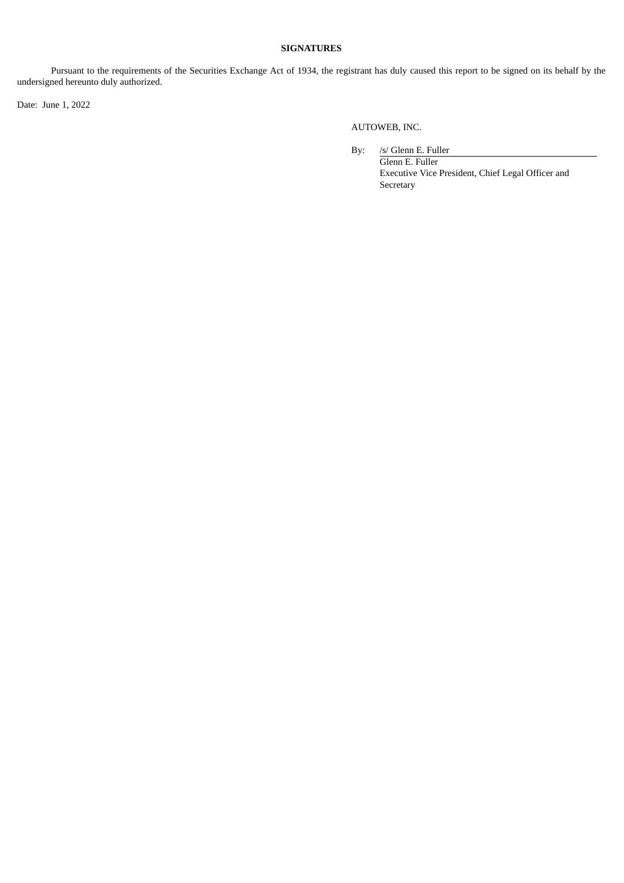# **SIGNATURES**

Pursuant to the requirements of the Securities Exchange Act of 1934, the registrant has duly caused this report to be signed on its behalf by the undersigned hereunto duly authorized.

Date: June 1, 2022

AUTOWEB, INC.

By: /s/ Glenn E. Fuller Glenn E. Fuller Executive Vice President, Chief Legal Officer and Secretary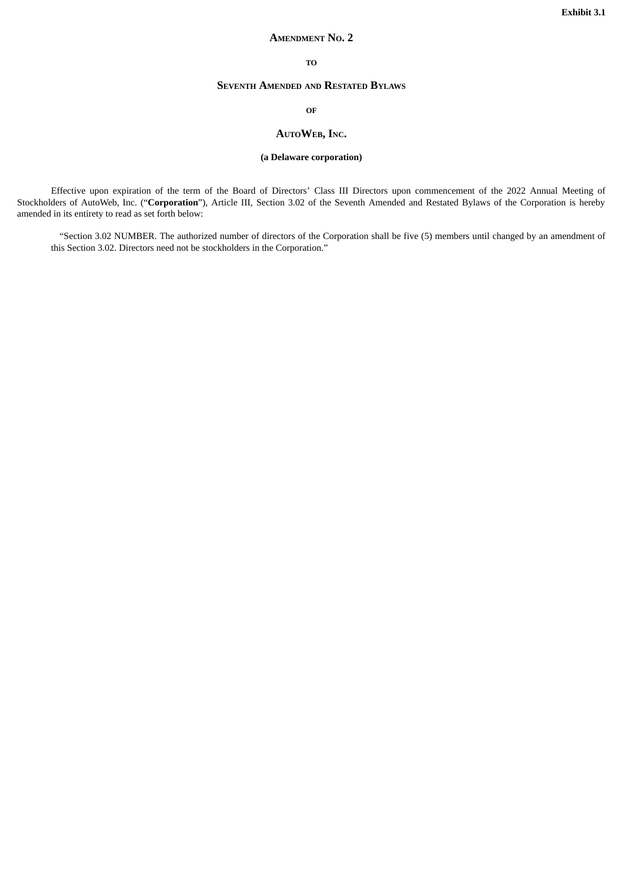# **AMENDMENT NO. 2**

**TO**

## **SEVENTH AMENDED AND RESTATED BYLAWS**

**OF**

# **AUTOWEB, INC.**

# **(a Delaware corporation)**

<span id="page-3-0"></span>Effective upon expiration of the term of the Board of Directors' Class III Directors upon commencement of the 2022 Annual Meeting of Stockholders of AutoWeb, Inc. ("**Corporation**"), Article III, Section 3.02 of the Seventh Amended and Restated Bylaws of the Corporation is hereby amended in its entirety to read as set forth below:

"Section 3.02 NUMBER. The authorized number of directors of the Corporation shall be five (5) members until changed by an amendment of this Section 3.02. Directors need not be stockholders in the Corporation."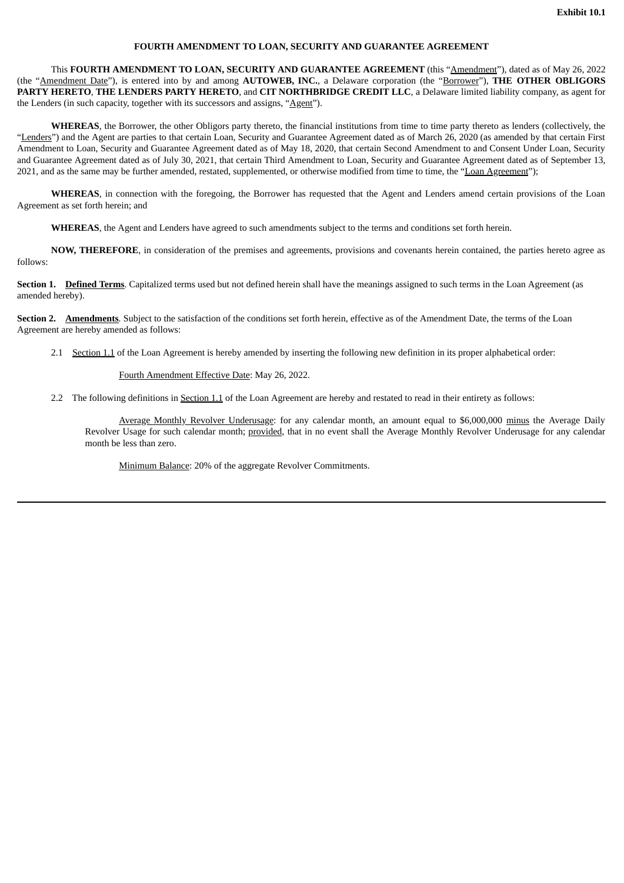#### **FOURTH AMENDMENT TO LOAN, SECURITY AND GUARANTEE AGREEMENT**

<span id="page-4-0"></span>This **FOURTH AMENDMENT TO LOAN, SECURITY AND GUARANTEE AGREEMENT** (this "Amendment"), dated as of May 26, 2022 (the "Amendment Date"), is entered into by and among **AUTOWEB, INC.**, a Delaware corporation (the "Borrower"), **THE OTHER OBLIGORS PARTY HERETO**, **THE LENDERS PARTY HERETO**, and **CIT NORTHBRIDGE CREDIT LLC**, a Delaware limited liability company, as agent for the Lenders (in such capacity, together with its successors and assigns, "Agent").

**WHEREAS**, the Borrower, the other Obligors party thereto, the financial institutions from time to time party thereto as lenders (collectively, the "Lenders") and the Agent are parties to that certain Loan, Security and Guarantee Agreement dated as of March 26, 2020 (as amended by that certain First Amendment to Loan, Security and Guarantee Agreement dated as of May 18, 2020, that certain Second Amendment to and Consent Under Loan, Security and Guarantee Agreement dated as of July 30, 2021, that certain Third Amendment to Loan, Security and Guarantee Agreement dated as of September 13, 2021, and as the same may be further amended, restated, supplemented, or otherwise modified from time to time, the "Loan Agreement");

**WHEREAS**, in connection with the foregoing, the Borrower has requested that the Agent and Lenders amend certain provisions of the Loan Agreement as set forth herein; and

**WHEREAS**, the Agent and Lenders have agreed to such amendments subject to the terms and conditions set forth herein.

**NOW, THEREFORE**, in consideration of the premises and agreements, provisions and covenants herein contained, the parties hereto agree as follows:

**Section 1. Defined Terms**. Capitalized terms used but not defined herein shall have the meanings assigned to such terms in the Loan Agreement (as amended hereby).

**Section 2. Amendments***.* Subject to the satisfaction of the conditions set forth herein, effective as of the Amendment Date, the terms of the Loan Agreement are hereby amended as follows:

2.1 Section 1.1 of the Loan Agreement is hereby amended by inserting the following new definition in its proper alphabetical order:

Fourth Amendment Effective Date: May 26, 2022.

2.2 The following definitions in Section 1.1 of the Loan Agreement are hereby and restated to read in their entirety as follows:

Average Monthly Revolver Underusage: for any calendar month, an amount equal to \$6,000,000 minus the Average Daily Revolver Usage for such calendar month; provided, that in no event shall the Average Monthly Revolver Underusage for any calendar month be less than zero.

Minimum Balance: 20% of the aggregate Revolver Commitments.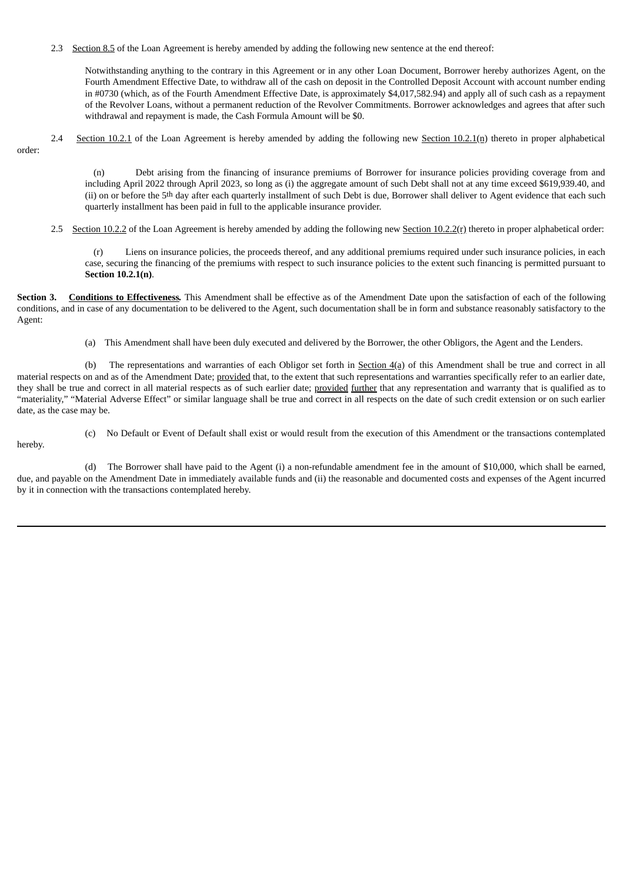2.3 Section 8.5 of the Loan Agreement is hereby amended by adding the following new sentence at the end thereof:

Notwithstanding anything to the contrary in this Agreement or in any other Loan Document, Borrower hereby authorizes Agent, on the Fourth Amendment Effective Date, to withdraw all of the cash on deposit in the Controlled Deposit Account with account number ending in #0730 (which, as of the Fourth Amendment Effective Date, is approximately \$4,017,582.94) and apply all of such cash as a repayment of the Revolver Loans, without a permanent reduction of the Revolver Commitments. Borrower acknowledges and agrees that after such withdrawal and repayment is made, the Cash Formula Amount will be \$0.

2.4 Section 10.2.1 of the Loan Agreement is hereby amended by adding the following new Section 10.2.1(n) thereto in proper alphabetical order:

> (n) Debt arising from the financing of insurance premiums of Borrower for insurance policies providing coverage from and including April 2022 through April 2023, so long as (i) the aggregate amount of such Debt shall not at any time exceed \$619,939.40, and (ii) on or before the 5<sup>th</sup> day after each quarterly installment of such Debt is due, Borrower shall deliver to Agent evidence that each such quarterly installment has been paid in full to the applicable insurance provider.

2.5 Section 10.2.2 of the Loan Agreement is hereby amended by adding the following new Section 10.2.2(r) thereto in proper alphabetical order:

(r) Liens on insurance policies, the proceeds thereof, and any additional premiums required under such insurance policies, in each case, securing the financing of the premiums with respect to such insurance policies to the extent such financing is permitted pursuant to **Section 10.2.1(n)**.

**Section 3. Conditions to Effectiveness***.* This Amendment shall be effective as of the Amendment Date upon the satisfaction of each of the following conditions, and in case of any documentation to be delivered to the Agent, such documentation shall be in form and substance reasonably satisfactory to the Agent:

(a) This Amendment shall have been duly executed and delivered by the Borrower, the other Obligors, the Agent and the Lenders.

(b) The representations and warranties of each Obligor set forth in Section 4(a) of this Amendment shall be true and correct in all material respects on and as of the Amendment Date; provided that, to the extent that such representations and warranties specifically refer to an earlier date, they shall be true and correct in all material respects as of such earlier date; provided further that any representation and warranty that is qualified as to "materiality," "Material Adverse Effect" or similar language shall be true and correct in all respects on the date of such credit extension or on such earlier date, as the case may be.

(c) No Default or Event of Default shall exist or would result from the execution of this Amendment or the transactions contemplated hereby.

(d) The Borrower shall have paid to the Agent (i) a non-refundable amendment fee in the amount of \$10,000, which shall be earned, due, and payable on the Amendment Date in immediately available funds and (ii) the reasonable and documented costs and expenses of the Agent incurred by it in connection with the transactions contemplated hereby.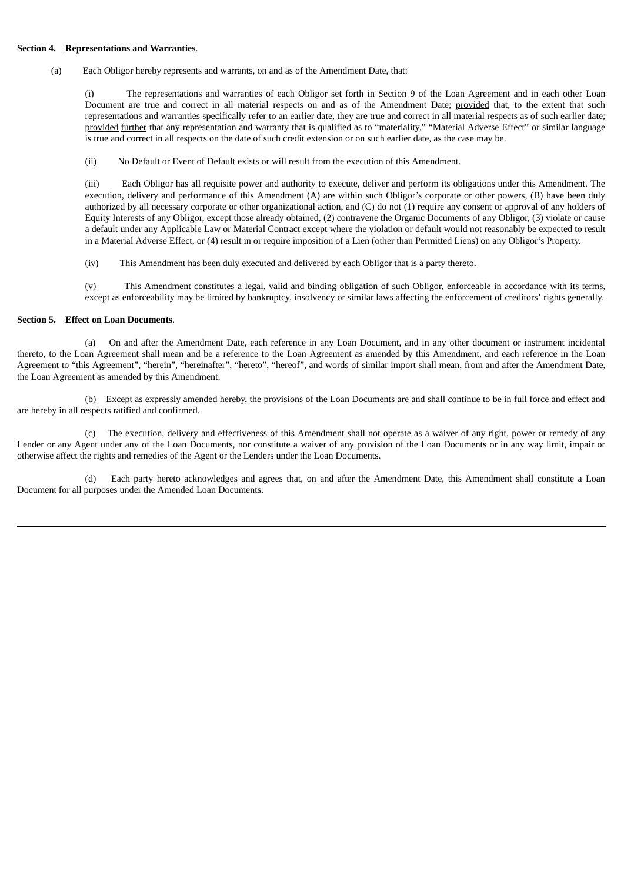#### **Section 4. Representations and Warranties**.

(a) Each Obligor hereby represents and warrants, on and as of the Amendment Date, that:

(i) The representations and warranties of each Obligor set forth in Section 9 of the Loan Agreement and in each other Loan Document are true and correct in all material respects on and as of the Amendment Date; provided that, to the extent that such representations and warranties specifically refer to an earlier date, they are true and correct in all material respects as of such earlier date; provided further that any representation and warranty that is qualified as to "materiality," "Material Adverse Effect" or similar language is true and correct in all respects on the date of such credit extension or on such earlier date, as the case may be.

(ii) No Default or Event of Default exists or will result from the execution of this Amendment.

(iii) Each Obligor has all requisite power and authority to execute, deliver and perform its obligations under this Amendment. The execution, delivery and performance of this Amendment (A) are within such Obligor's corporate or other powers, (B) have been duly authorized by all necessary corporate or other organizational action, and (C) do not (1) require any consent or approval of any holders of Equity Interests of any Obligor, except those already obtained, (2) contravene the Organic Documents of any Obligor, (3) violate or cause a default under any Applicable Law or Material Contract except where the violation or default would not reasonably be expected to result in a Material Adverse Effect, or (4) result in or require imposition of a Lien (other than Permitted Liens) on any Obligor's Property.

(iv) This Amendment has been duly executed and delivered by each Obligor that is a party thereto.

(v) This Amendment constitutes a legal, valid and binding obligation of such Obligor, enforceable in accordance with its terms, except as enforceability may be limited by bankruptcy, insolvency or similar laws affecting the enforcement of creditors' rights generally.

#### **Section 5. Effect on Loan Documents**.

(a) On and after the Amendment Date, each reference in any Loan Document, and in any other document or instrument incidental thereto, to the Loan Agreement shall mean and be a reference to the Loan Agreement as amended by this Amendment, and each reference in the Loan Agreement to "this Agreement", "herein", "hereinafter", "hereto", "hereof", and words of similar import shall mean, from and after the Amendment Date, the Loan Agreement as amended by this Amendment.

(b) Except as expressly amended hereby, the provisions of the Loan Documents are and shall continue to be in full force and effect and are hereby in all respects ratified and confirmed.

(c) The execution, delivery and effectiveness of this Amendment shall not operate as a waiver of any right, power or remedy of any Lender or any Agent under any of the Loan Documents, nor constitute a waiver of any provision of the Loan Documents or in any way limit, impair or otherwise affect the rights and remedies of the Agent or the Lenders under the Loan Documents.

(d) Each party hereto acknowledges and agrees that, on and after the Amendment Date, this Amendment shall constitute a Loan Document for all purposes under the Amended Loan Documents.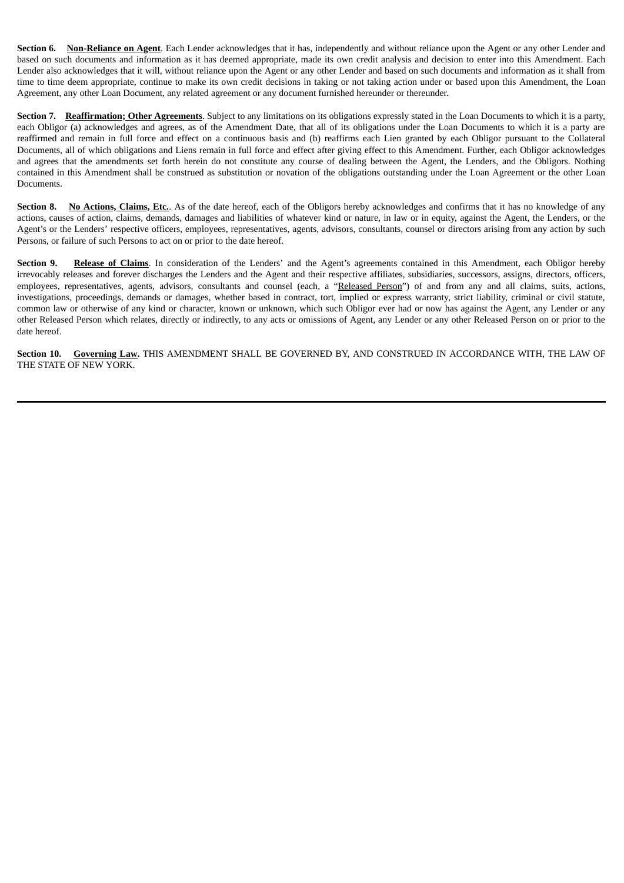**Section 6. Non-Reliance on Agent**. Each Lender acknowledges that it has, independently and without reliance upon the Agent or any other Lender and based on such documents and information as it has deemed appropriate, made its own credit analysis and decision to enter into this Amendment. Each Lender also acknowledges that it will, without reliance upon the Agent or any other Lender and based on such documents and information as it shall from time to time deem appropriate, continue to make its own credit decisions in taking or not taking action under or based upon this Amendment, the Loan Agreement, any other Loan Document, any related agreement or any document furnished hereunder or thereunder.

**Section 7. Reaffirmation; Other Agreements**. Subject to any limitations on its obligations expressly stated in the Loan Documents to which it is a party, each Obligor (a) acknowledges and agrees, as of the Amendment Date, that all of its obligations under the Loan Documents to which it is a party are reaffirmed and remain in full force and effect on a continuous basis and (b) reaffirms each Lien granted by each Obligor pursuant to the Collateral Documents, all of which obligations and Liens remain in full force and effect after giving effect to this Amendment. Further, each Obligor acknowledges and agrees that the amendments set forth herein do not constitute any course of dealing between the Agent, the Lenders, and the Obligors. Nothing contained in this Amendment shall be construed as substitution or novation of the obligations outstanding under the Loan Agreement or the other Loan Documents.

**Section 8. No Actions, Claims, Etc.**. As of the date hereof, each of the Obligors hereby acknowledges and confirms that it has no knowledge of any actions, causes of action, claims, demands, damages and liabilities of whatever kind or nature, in law or in equity, against the Agent, the Lenders, or the Agent's or the Lenders' respective officers, employees, representatives, agents, advisors, consultants, counsel or directors arising from any action by such Persons, or failure of such Persons to act on or prior to the date hereof.

**Section 9. Release of Claims**. In consideration of the Lenders' and the Agent's agreements contained in this Amendment, each Obligor hereby irrevocably releases and forever discharges the Lenders and the Agent and their respective affiliates, subsidiaries, successors, assigns, directors, officers, employees, representatives, agents, advisors, consultants and counsel (each, a "Released Person") of and from any and all claims, suits, actions, investigations, proceedings, demands or damages, whether based in contract, tort, implied or express warranty, strict liability, criminal or civil statute, common law or otherwise of any kind or character, known or unknown, which such Obligor ever had or now has against the Agent, any Lender or any other Released Person which relates, directly or indirectly, to any acts or omissions of Agent, any Lender or any other Released Person on or prior to the date hereof.

**Section 10. Governing Law.** THIS AMENDMENT SHALL BE GOVERNED BY, AND CONSTRUED IN ACCORDANCE WITH, THE LAW OF THE STATE OF NEW YORK.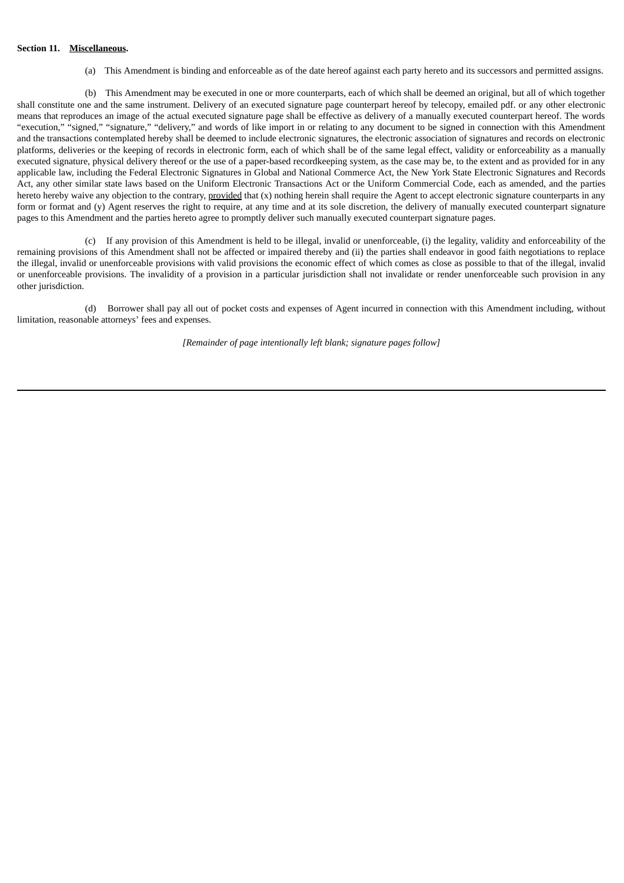#### **Section 11. Miscellaneous.**

(a) This Amendment is binding and enforceable as of the date hereof against each party hereto and its successors and permitted assigns.

(b) This Amendment may be executed in one or more counterparts, each of which shall be deemed an original, but all of which together shall constitute one and the same instrument. Delivery of an executed signature page counterpart hereof by telecopy, emailed pdf. or any other electronic means that reproduces an image of the actual executed signature page shall be effective as delivery of a manually executed counterpart hereof. The words "execution," "signed," "signature," "delivery," and words of like import in or relating to any document to be signed in connection with this Amendment and the transactions contemplated hereby shall be deemed to include electronic signatures, the electronic association of signatures and records on electronic platforms, deliveries or the keeping of records in electronic form, each of which shall be of the same legal effect, validity or enforceability as a manually executed signature, physical delivery thereof or the use of a paper-based recordkeeping system, as the case may be, to the extent and as provided for in any applicable law, including the Federal Electronic Signatures in Global and National Commerce Act, the New York State Electronic Signatures and Records Act, any other similar state laws based on the Uniform Electronic Transactions Act or the Uniform Commercial Code, each as amended, and the parties hereto hereby waive any objection to the contrary, provided that (x) nothing herein shall require the Agent to accept electronic signature counterparts in any form or format and (y) Agent reserves the right to require, at any time and at its sole discretion, the delivery of manually executed counterpart signature pages to this Amendment and the parties hereto agree to promptly deliver such manually executed counterpart signature pages.

(c) If any provision of this Amendment is held to be illegal, invalid or unenforceable, (i) the legality, validity and enforceability of the remaining provisions of this Amendment shall not be affected or impaired thereby and (ii) the parties shall endeavor in good faith negotiations to replace the illegal, invalid or unenforceable provisions with valid provisions the economic effect of which comes as close as possible to that of the illegal, invalid or unenforceable provisions. The invalidity of a provision in a particular jurisdiction shall not invalidate or render unenforceable such provision in any other jurisdiction.

(d) Borrower shall pay all out of pocket costs and expenses of Agent incurred in connection with this Amendment including, without limitation, reasonable attorneys' fees and expenses.

*[Remainder of page intentionally left blank; signature pages follow]*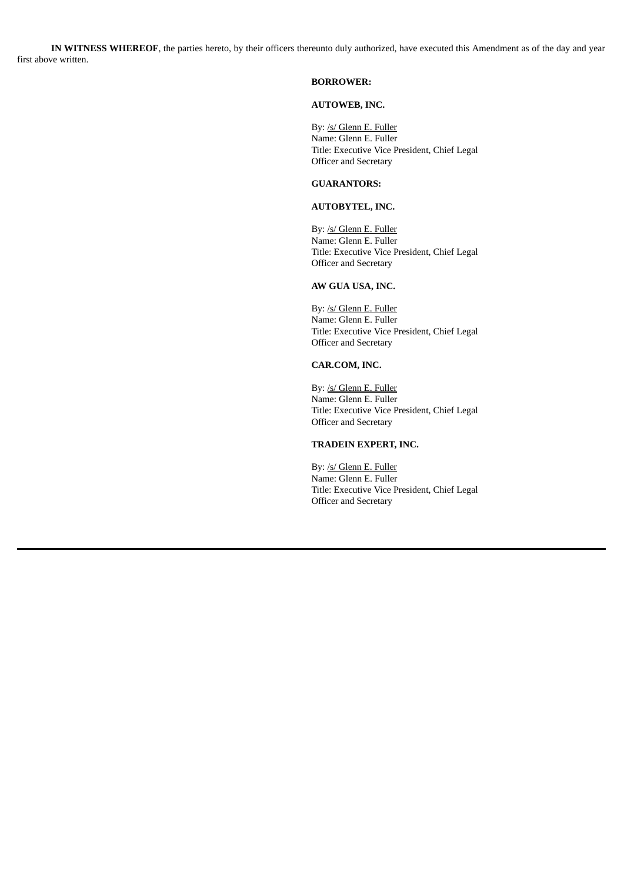**IN WITNESS WHEREOF**, the parties hereto, by their officers thereunto duly authorized, have executed this Amendment as of the day and year first above written.

#### **BORROWER:**

# **AUTOWEB, INC.**

By: /s/ Glenn E. Fuller Name: Glenn E. Fuller Title: Executive Vice President, Chief Legal Officer and Secretary

#### **GUARANTORS:**

# **AUTOBYTEL, INC.**

By: /s/ Glenn E. Fuller Name: Glenn E. Fuller Title: Executive Vice President, Chief Legal Officer and Secretary

# **AW GUA USA, INC.**

By: /s/ Glenn E. Fuller Name: Glenn E. Fuller Title: Executive Vice President, Chief Legal Officer and Secretary

## **CAR.COM, INC.**

By: /s/ Glenn E. Fuller Name: Glenn E. Fuller Title: Executive Vice President, Chief Legal Officer and Secretary

#### **TRADEIN EXPERT, INC.**

By: /s/ Glenn E. Fuller Name: Glenn E. Fuller Title: Executive Vice President, Chief Legal Officer and Secretary